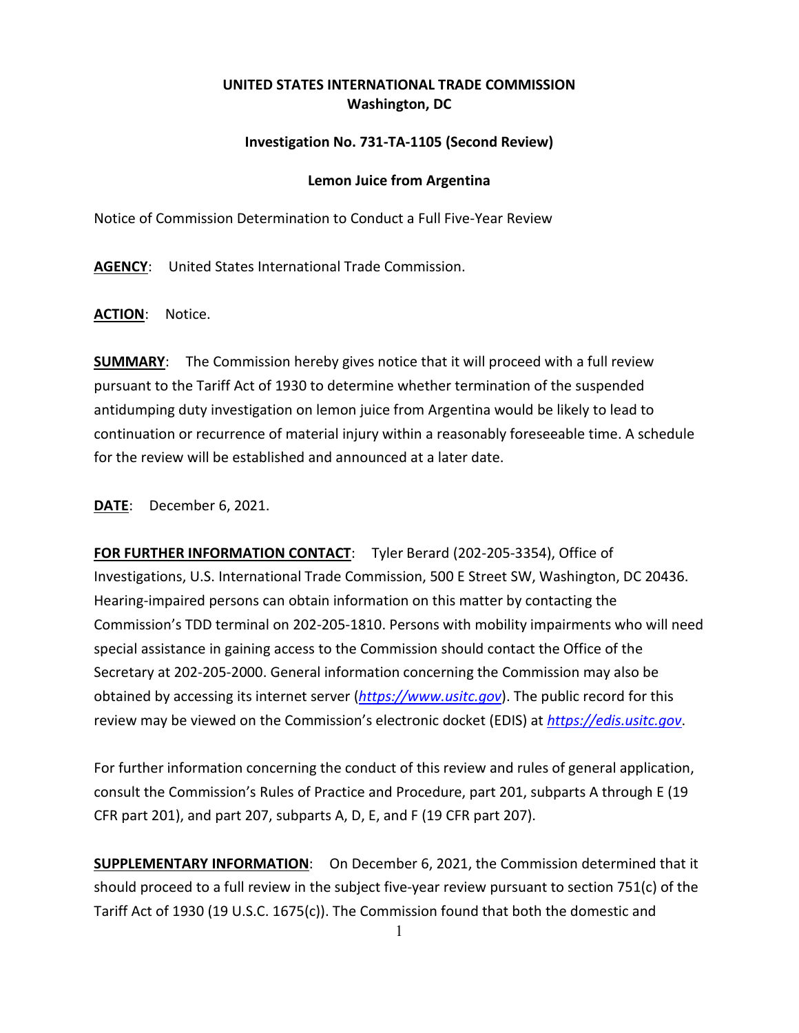## **UNITED STATES INTERNATIONAL TRADE COMMISSION Washington, DC**

## **Investigation No. 731-TA-1105 (Second Review)**

## **Lemon Juice from Argentina**

Notice of Commission Determination to Conduct a Full Five-Year Review

**AGENCY**: United States International Trade Commission.

**ACTION**: Notice.

**SUMMARY**: The Commission hereby gives notice that it will proceed with a full review pursuant to the Tariff Act of 1930 to determine whether termination of the suspended antidumping duty investigation on lemon juice from Argentina would be likely to lead to continuation or recurrence of material injury within a reasonably foreseeable time. A schedule for the review will be established and announced at a later date.

**DATE**: December 6, 2021.

**FOR FURTHER INFORMATION CONTACT**: Tyler Berard (202-205-3354), Office of Investigations, U.S. International Trade Commission, 500 E Street SW, Washington, DC 20436. Hearing-impaired persons can obtain information on this matter by contacting the Commission's TDD terminal on 202-205-1810. Persons with mobility impairments who will need special assistance in gaining access to the Commission should contact the Office of the Secretary at 202-205-2000. General information concerning the Commission may also be obtained by accessing its internet server (*[https://www.usitc.gov](https://www.usitc.gov/)*). The public record for this review may be viewed on the Commission's electronic docket (EDIS) at *[https://edis.usitc.gov](https://edis.usitc.gov/)*.

For further information concerning the conduct of this review and rules of general application, consult the Commission's Rules of Practice and Procedure, part 201, subparts A through E (19 CFR part 201), and part 207, subparts A, D, E, and F (19 CFR part 207).

**SUPPLEMENTARY INFORMATION**: On December 6, 2021, the Commission determined that it should proceed to a full review in the subject five-year review pursuant to section 751(c) of the Tariff Act of 1930 (19 U.S.C. 1675(c)). The Commission found that both the domestic and